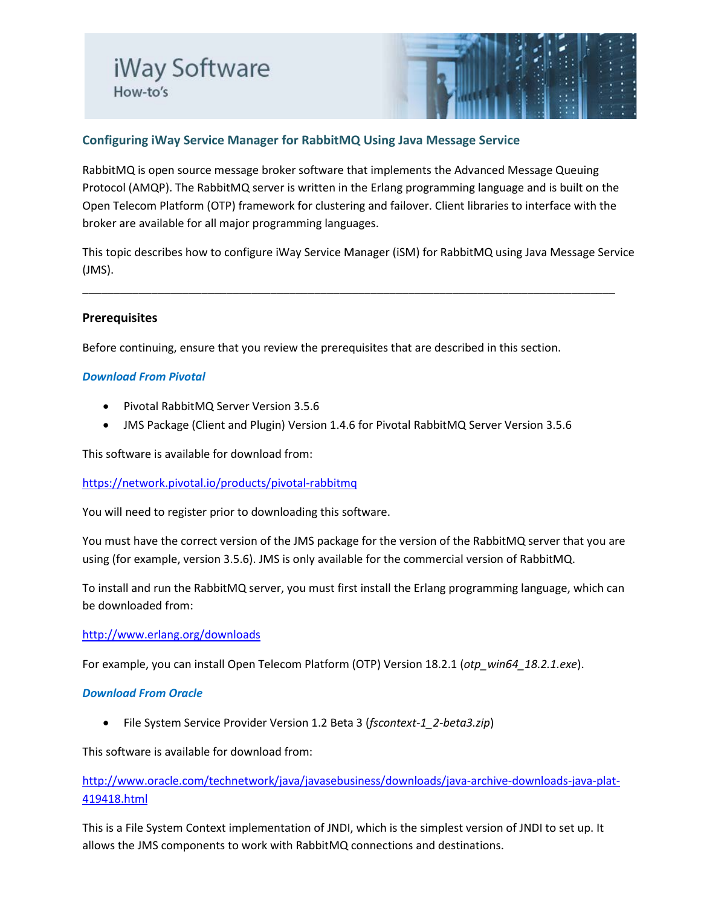

# **Configuring iWay Service Manager for RabbitMQ Using Java Message Service**

RabbitMQ is open source message broker software that implements the Advanced Message Queuing Protocol (AMQP). The RabbitMQ server is written in the Erlang programming language and is built on the Open Telecom Platform (OTP) framework for clustering and failover. Client libraries to interface with the broker are available for all major programming languages.

This topic describes how to configure iWay Service Manager (iSM) for RabbitMQ using Java Message Service (JMS).

\_\_\_\_\_\_\_\_\_\_\_\_\_\_\_\_\_\_\_\_\_\_\_\_\_\_\_\_\_\_\_\_\_\_\_\_\_\_\_\_\_\_\_\_\_\_\_\_\_\_\_\_\_\_\_\_\_\_\_\_\_\_\_\_\_\_\_\_\_\_\_\_\_\_\_\_\_\_\_\_\_\_\_\_\_

## **Prerequisites**

Before continuing, ensure that you review the prerequisites that are described in this section.

### *Download From Pivotal*

- Pivotal RabbitMQ Server Version 3.5.6
- JMS Package (Client and Plugin) Version 1.4.6 for Pivotal RabbitMQ Server Version 3.5.6

This software is available for download from:

<https://network.pivotal.io/products/pivotal-rabbitmq>

You will need to register prior to downloading this software.

You must have the correct version of the JMS package for the version of the RabbitMQ server that you are using (for example, version 3.5.6). JMS is only available for the commercial version of RabbitMQ.

To install and run the RabbitMQ server, you must first install the Erlang programming language, which can be downloaded from:

### <http://www.erlang.org/downloads>

For example, you can install Open Telecom Platform (OTP) Version 18.2.1 (*otp\_win64\_18.2.1.exe*).

### *Download From Oracle*

• File System Service Provider Version 1.2 Beta 3 (*fscontext-1\_2-beta3.zip*)

This software is available for download from:

# [http://www.oracle.com/technetwork/java/javasebusiness/downloads/java-archive-downloads-java-plat-](http://www.oracle.com/technetwork/java/javasebusiness/downloads/java-archive-downloads-java-plat-419418.html)[419418.html](http://www.oracle.com/technetwork/java/javasebusiness/downloads/java-archive-downloads-java-plat-419418.html)

This is a File System Context implementation of JNDI, which is the simplest version of JNDI to set up. It allows the JMS components to work with RabbitMQ connections and destinations.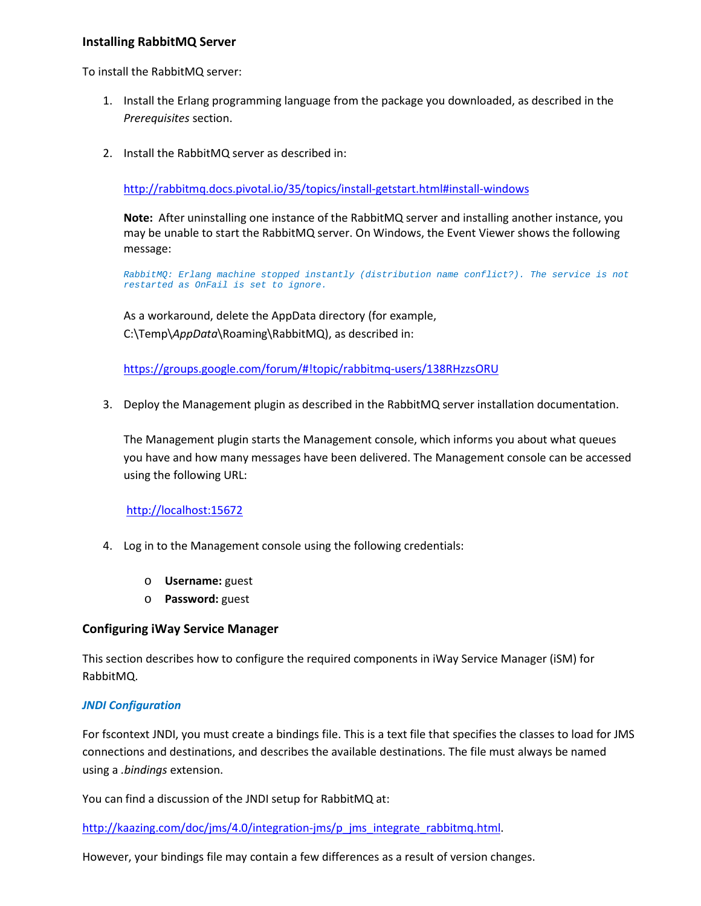### **Installing RabbitMQ Server**

To install the RabbitMQ server:

- 1. Install the Erlang programming language from the package you downloaded, as described in the *Prerequisites* section.
- 2. Install the RabbitMQ server as described in:

[http://rabbitmq.docs.pivotal.io/35/topics/install-getstart.html#install-windows](http://rabbitmq.docs.pivotal.io/35/topics/install-getstart.html%23install-windows)

**Note:** After uninstalling one instance of the RabbitMQ server and installing another instance, you may be unable to start the RabbitMQ server. On Windows, the Event Viewer shows the following message:

*RabbitMQ: Erlang machine stopped instantly (distribution name conflict?). The service is not restarted as OnFail is set to ignore.*

As a workaround, delete the AppData directory (for example, C:\Temp\*AppData*\Roaming\RabbitMQ), as described in:

[https://groups.google.com/forum/#!topic/rabbitmq-users/138RHzzsORU](https://groups.google.com/forum/%23!topic/rabbitmq-users/138RHzzsORU)

3. Deploy the Management plugin as described in the RabbitMQ server installation documentation.

The Management plugin starts the Management console, which informs you about what queues you have and how many messages have been delivered. The Management console can be accessed using the following URL:

### [http://localhost:15672](http://localhost:15672/)

- 4. Log in to the Management console using the following credentials:
	- o **Username:** guest
	- o **Password:** guest

### **Configuring iWay Service Manager**

This section describes how to configure the required components in iWay Service Manager (iSM) for RabbitMQ.

### *JNDI Configuration*

For fscontext JNDI, you must create a bindings file. This is a text file that specifies the classes to load for JMS connections and destinations, and describes the available destinations. The file must always be named using a *.bindings* extension.

You can find a discussion of the JNDI setup for RabbitMQ at:

[http://kaazing.com/doc/jms/4.0/integration-jms/p\\_jms\\_integrate\\_rabbitmq.html.](http://kaazing.com/doc/jms/4.0/integration-jms/p_jms_integrate_rabbitmq.html)

However, your bindings file may contain a few differences as a result of version changes.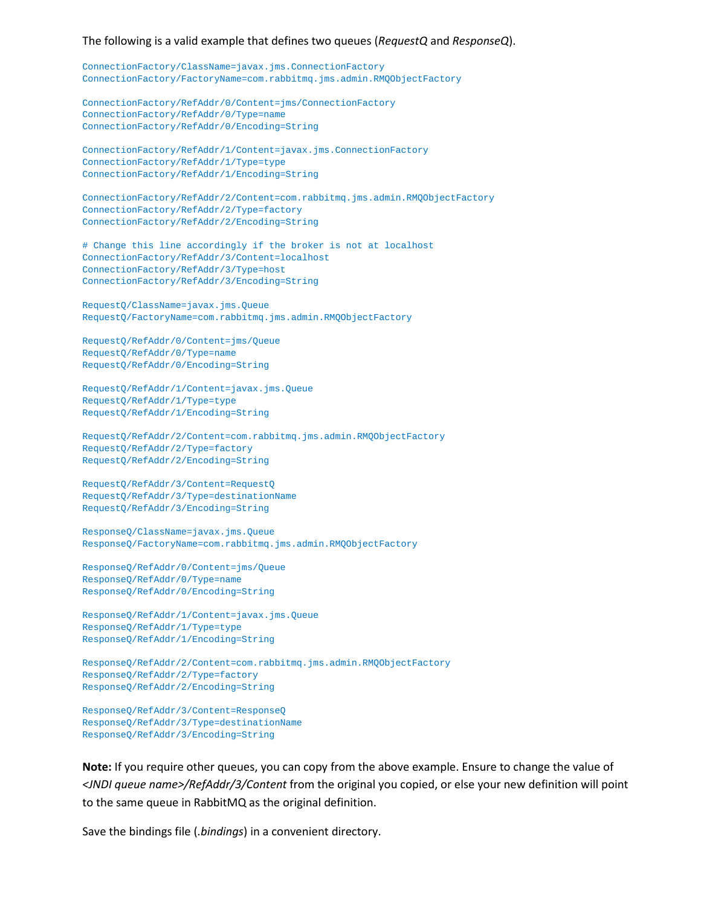#### The following is a valid example that defines two queues (*RequestQ* and *ResponseQ*).

```
ConnectionFactory/ClassName=javax.jms.ConnectionFactory
ConnectionFactory/FactoryName=com.rabbitmq.jms.admin.RMQObjectFactory
```
ConnectionFactory/RefAddr/0/Content=jms/ConnectionFactory ConnectionFactory/RefAddr/0/Type=name ConnectionFactory/RefAddr/0/Encoding=String

```
ConnectionFactory/RefAddr/1/Content=javax.jms.ConnectionFactory
ConnectionFactory/RefAddr/1/Type=type
ConnectionFactory/RefAddr/1/Encoding=String
```
ConnectionFactory/RefAddr/2/Content=com.rabbitmq.jms.admin.RMQObjectFactory ConnectionFactory/RefAddr/2/Type=factory ConnectionFactory/RefAddr/2/Encoding=String

# Change this line accordingly if the broker is not at localhost ConnectionFactory/RefAddr/3/Content=localhost ConnectionFactory/RefAddr/3/Type=host ConnectionFactory/RefAddr/3/Encoding=String

```
RequestQ/ClassName=javax.jms.Queue
RequestQ/FactoryName=com.rabbitmq.jms.admin.RMQObjectFactory
```

```
RequestQ/RefAddr/0/Content=jms/Queue
RequestQ/RefAddr/0/Type=name
RequestQ/RefAddr/0/Encoding=String
```

```
RequestQ/RefAddr/1/Content=javax.jms.Queue
RequestQ/RefAddr/1/Type=type
RequestQ/RefAddr/1/Encoding=String
```
RequestQ/RefAddr/2/Content=com.rabbitmq.jms.admin.RMQObjectFactory RequestQ/RefAddr/2/Type=factory RequestQ/RefAddr/2/Encoding=String

```
RequestQ/RefAddr/3/Content=RequestQ
RequestQ/RefAddr/3/Type=destinationName
RequestQ/RefAddr/3/Encoding=String
```

```
ResponseQ/ClassName=javax.jms.Queue
ResponseQ/FactoryName=com.rabbitmq.jms.admin.RMQObjectFactory
```

```
ResponseQ/RefAddr/0/Content=jms/Queue
ResponseQ/RefAddr/0/Type=name
ResponseQ/RefAddr/0/Encoding=String
```

```
ResponseQ/RefAddr/1/Content=javax.jms.Queue
ResponseQ/RefAddr/1/Type=type
ResponseQ/RefAddr/1/Encoding=String
```
ResponseQ/RefAddr/2/Content=com.rabbitmq.jms.admin.RMQObjectFactory ResponseQ/RefAddr/2/Type=factory ResponseQ/RefAddr/2/Encoding=String

ResponseQ/RefAddr/3/Content=ResponseQ ResponseQ/RefAddr/3/Type=destinationName ResponseQ/RefAddr/3/Encoding=String

**Note:** If you require other queues, you can copy from the above example. Ensure to change the value of *<JNDI queue name>/RefAddr/3/Content* from the original you copied, or else your new definition will point to the same queue in RabbitMQ as the original definition.

Save the bindings file (*.bindings*) in a convenient directory.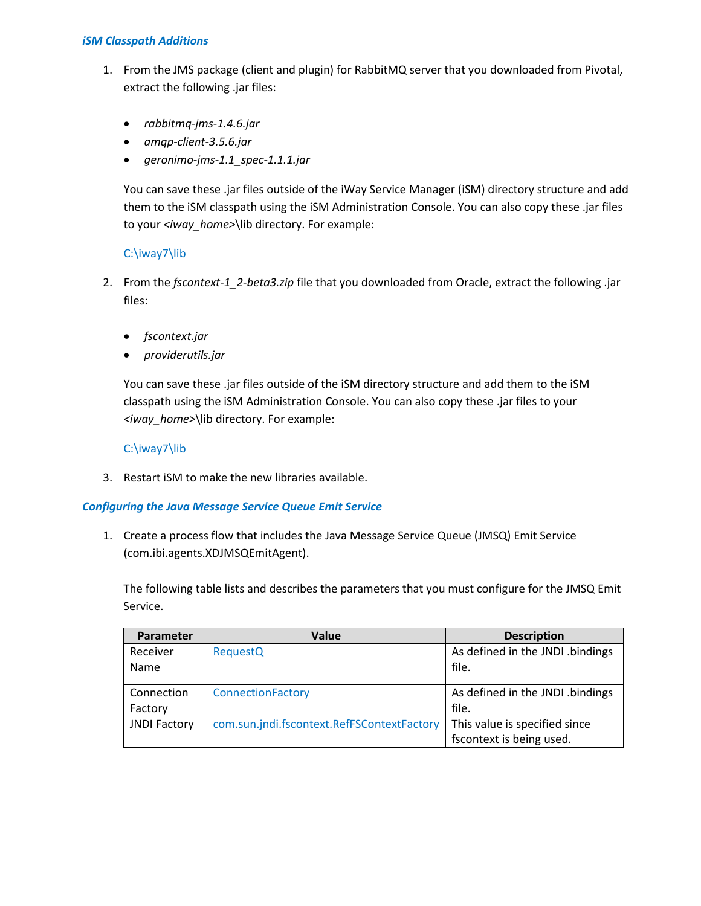### *iSM Classpath Additions*

- 1. From the JMS package (client and plugin) for RabbitMQ server that you downloaded from Pivotal, extract the following .jar files:
	- *rabbitmq-jms-1.4.6.jar*
	- *amqp-client-3.5.6.jar*
	- *geronimo-jms-1.1\_spec-1.1.1.jar*

You can save these .jar files outside of the iWay Service Manager (iSM) directory structure and add them to the iSM classpath using the iSM Administration Console. You can also copy these .jar files to your *<iway\_home>*\lib directory. For example:

## C:\iway7\lib

- 2. From the *fscontext-1\_2-beta3.zip* file that you downloaded from Oracle, extract the following .jar files:
	- *fscontext.jar*
	- *providerutils.jar*

You can save these .jar files outside of the iSM directory structure and add them to the iSM classpath using the iSM Administration Console. You can also copy these .jar files to your *<iway\_home>*\lib directory. For example:

## C:\iway7\lib

3. Restart iSM to make the new libraries available.

### *Configuring the Java Message Service Queue Emit Service*

1. Create a process flow that includes the Java Message Service Queue (JMSQ) Emit Service (com.ibi.agents.XDJMSQEmitAgent).

The following table lists and describes the parameters that you must configure for the JMSQ Emit Service.

| Parameter           | Value                                      | <b>Description</b>               |
|---------------------|--------------------------------------------|----------------------------------|
| Receiver            | <b>RequestQ</b>                            | As defined in the JNDI .bindings |
| Name                |                                            | file.                            |
| Connection          | ConnectionFactory                          | As defined in the JNDI .bindings |
| Factory             |                                            | file.                            |
| <b>JNDI Factory</b> | com.sun.jndi.fscontext.RefFSContextFactory | This value is specified since    |
|                     |                                            | fscontext is being used.         |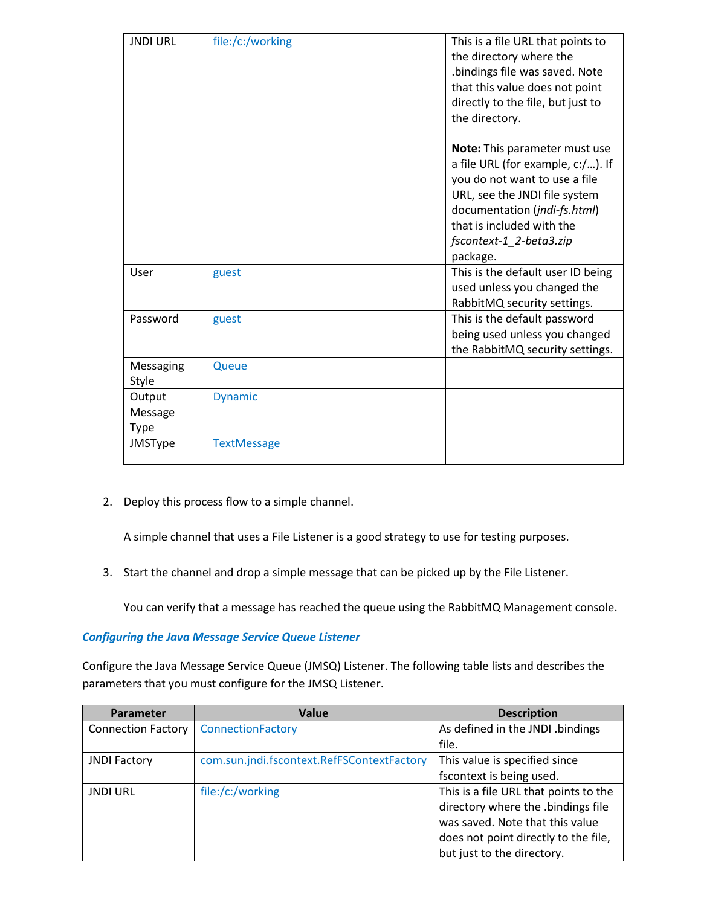| <b>JNDI URL</b>                  | file:/c:/working   | This is a file URL that points to<br>the directory where the<br>bindings file was saved. Note<br>that this value does not point<br>directly to the file, but just to<br>the directory.                                                   |
|----------------------------------|--------------------|------------------------------------------------------------------------------------------------------------------------------------------------------------------------------------------------------------------------------------------|
|                                  |                    | Note: This parameter must use<br>a file URL (for example, c:/). If<br>you do not want to use a file<br>URL, see the JNDI file system<br>documentation (jndi-fs.html)<br>that is included with the<br>fscontext-1_2-beta3.zip<br>package. |
| User                             | guest              | This is the default user ID being<br>used unless you changed the<br>RabbitMQ security settings.                                                                                                                                          |
| Password                         | guest              | This is the default password<br>being used unless you changed<br>the RabbitMQ security settings.                                                                                                                                         |
| Messaging<br>Style               | Queue              |                                                                                                                                                                                                                                          |
| Output<br>Message<br><b>Type</b> | <b>Dynamic</b>     |                                                                                                                                                                                                                                          |
| JMSType                          | <b>TextMessage</b> |                                                                                                                                                                                                                                          |

2. Deploy this process flow to a simple channel.

A simple channel that uses a File Listener is a good strategy to use for testing purposes.

3. Start the channel and drop a simple message that can be picked up by the File Listener.

You can verify that a message has reached the queue using the RabbitMQ Management console.

### *Configuring the Java Message Service Queue Listener*

Configure the Java Message Service Queue (JMSQ) Listener. The following table lists and describes the parameters that you must configure for the JMSQ Listener.

| <b>Parameter</b>          | <b>Value</b>                               | <b>Description</b>                    |
|---------------------------|--------------------------------------------|---------------------------------------|
| <b>Connection Factory</b> | ConnectionFactory                          | As defined in the JNDI .bindings      |
|                           |                                            | file.                                 |
| <b>JNDI Factory</b>       | com.sun.jndi.fscontext.RefFSContextFactory | This value is specified since         |
|                           |                                            | fscontext is being used.              |
| <b>JNDI URL</b>           | file:/c:/working                           | This is a file URL that points to the |
|                           |                                            | directory where the .bindings file    |
|                           |                                            | was saved. Note that this value       |
|                           |                                            | does not point directly to the file,  |
|                           |                                            | but just to the directory.            |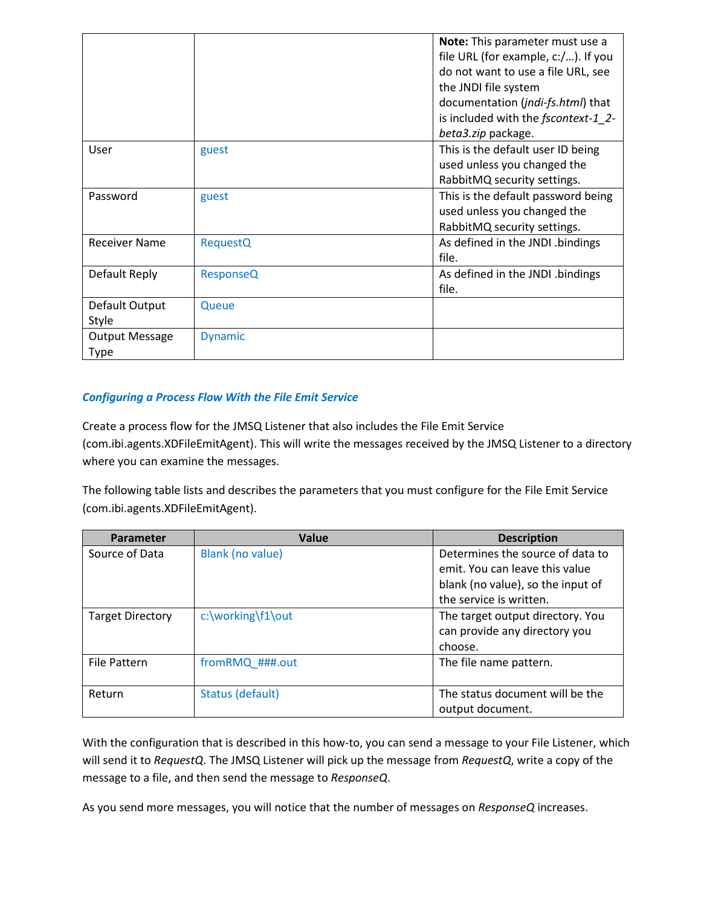|                       |                  | Note: This parameter must use a     |
|-----------------------|------------------|-------------------------------------|
|                       |                  | file URL (for example, c:/). If you |
|                       |                  | do not want to use a file URL, see  |
|                       |                  | the JNDI file system                |
|                       |                  | documentation (jndi-fs.html) that   |
|                       |                  | is included with the fscontext-1 2- |
|                       |                  | beta3.zip package.                  |
| User                  | guest            | This is the default user ID being   |
|                       |                  | used unless you changed the         |
|                       |                  | RabbitMQ security settings.         |
| Password              | guest            | This is the default password being  |
|                       |                  | used unless you changed the         |
|                       |                  | RabbitMQ security settings.         |
| <b>Receiver Name</b>  | <b>RequestQ</b>  | As defined in the JNDI .bindings    |
|                       |                  | file.                               |
| Default Reply         | <b>ResponseQ</b> | As defined in the JNDI .bindings    |
|                       |                  | file.                               |
| Default Output        | Queue            |                                     |
| Style                 |                  |                                     |
| <b>Output Message</b> | <b>Dynamic</b>   |                                     |
| <b>Type</b>           |                  |                                     |

# *Configuring a Process Flow With the File Emit Service*

Create a process flow for the JMSQ Listener that also includes the File Emit Service (com.ibi.agents.XDFileEmitAgent). This will write the messages received by the JMSQ Listener to a directory where you can examine the messages.

The following table lists and describes the parameters that you must configure for the File Emit Service (com.ibi.agents.XDFileEmitAgent).

| Parameter               | Value             | <b>Description</b>                |
|-------------------------|-------------------|-----------------------------------|
| Source of Data          | Blank (no value)  | Determines the source of data to  |
|                         |                   | emit. You can leave this value    |
|                         |                   | blank (no value), so the input of |
|                         |                   | the service is written.           |
| <b>Target Directory</b> | c:\working\f1\out | The target output directory. You  |
|                         |                   | can provide any directory you     |
|                         |                   | choose.                           |
| <b>File Pattern</b>     | fromRMQ_###.out   | The file name pattern.            |
|                         |                   |                                   |
| Return                  | Status (default)  | The status document will be the   |
|                         |                   | output document.                  |

With the configuration that is described in this how-to, you can send a message to your File Listener, which will send it to *RequestQ*. The JMSQ Listener will pick up the message from *RequestQ*, write a copy of the message to a file, and then send the message to *ResponseQ*.

As you send more messages, you will notice that the number of messages on *ResponseQ* increases.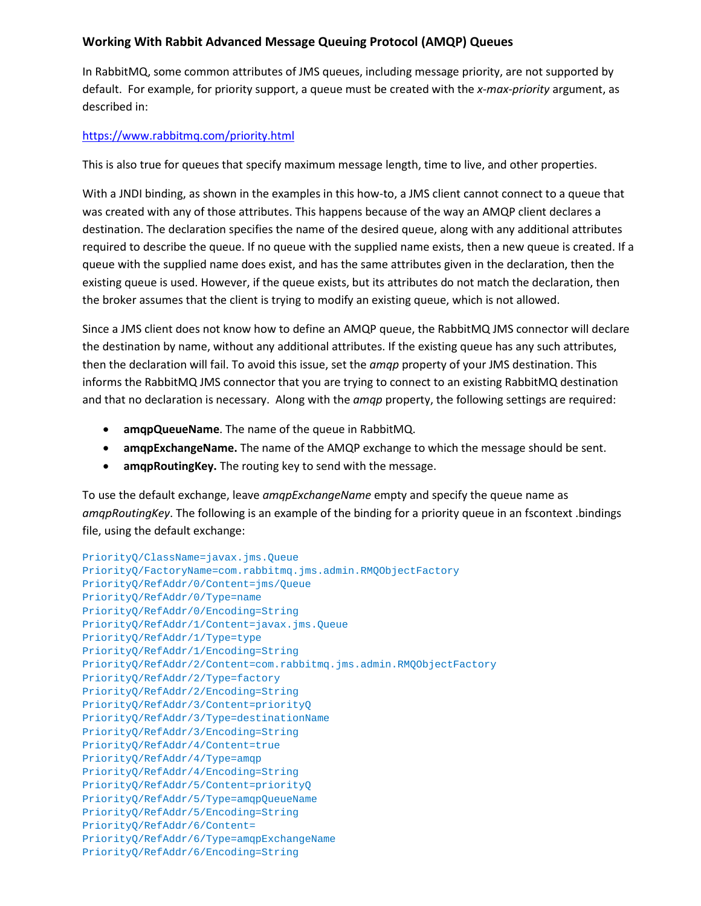# **Working With Rabbit Advanced Message Queuing Protocol (AMQP) Queues**

In RabbitMQ, some common attributes of JMS queues, including message priority, are not supported by default. For example, for priority support, a queue must be created with the *x-max-priority* argument, as described in:

## <https://www.rabbitmq.com/priority.html>

This is also true for queues that specify maximum message length, time to live, and other properties.

With a JNDI binding, as shown in the examples in this how-to, a JMS client cannot connect to a queue that was created with any of those attributes. This happens because of the way an AMQP client declares a destination. The declaration specifies the name of the desired queue, along with any additional attributes required to describe the queue. If no queue with the supplied name exists, then a new queue is created. If a queue with the supplied name does exist, and has the same attributes given in the declaration, then the existing queue is used. However, if the queue exists, but its attributes do not match the declaration, then the broker assumes that the client is trying to modify an existing queue, which is not allowed.

Since a JMS client does not know how to define an AMQP queue, the RabbitMQ JMS connector will declare the destination by name, without any additional attributes. If the existing queue has any such attributes, then the declaration will fail. To avoid this issue, set the *amqp* property of your JMS destination. This informs the RabbitMQ JMS connector that you are trying to connect to an existing RabbitMQ destination and that no declaration is necessary. Along with the *amqp* property, the following settings are required:

- **amqpQueueName**. The name of the queue in RabbitMQ.
- **amqpExchangeName.** The name of the AMQP exchange to which the message should be sent.
- **amqpRoutingKey.** The routing key to send with the message.

To use the default exchange, leave *amqpExchangeName* empty and specify the queue name as *amqpRoutingKey*. The following is an example of the binding for a priority queue in an fscontext .bindings file, using the default exchange:

```
PriorityQ/ClassName=javax.jms.Queue
PriorityQ/FactoryName=com.rabbitmq.jms.admin.RMQObjectFactory
PriorityQ/RefAddr/0/Content=jms/Queue
PriorityQ/RefAddr/0/Type=name
PriorityQ/RefAddr/0/Encoding=String
PriorityQ/RefAddr/1/Content=javax.jms.Queue
PriorityQ/RefAddr/1/Type=type
PriorityQ/RefAddr/1/Encoding=String
PriorityQ/RefAddr/2/Content=com.rabbitmq.jms.admin.RMQObjectFactory
PriorityQ/RefAddr/2/Type=factory
PriorityQ/RefAddr/2/Encoding=String
PriorityQ/RefAddr/3/Content=priorityQ
PriorityQ/RefAddr/3/Type=destinationName
PriorityQ/RefAddr/3/Encoding=String
PriorityQ/RefAddr/4/Content=true
PriorityQ/RefAddr/4/Type=amqp
PriorityQ/RefAddr/4/Encoding=String
PriorityQ/RefAddr/5/Content=priorityQ
PriorityQ/RefAddr/5/Type=amqpQueueName
PriorityQ/RefAddr/5/Encoding=String
PriorityQ/RefAddr/6/Content=
PriorityQ/RefAddr/6/Type=amqpExchangeName
PriorityQ/RefAddr/6/Encoding=String
```